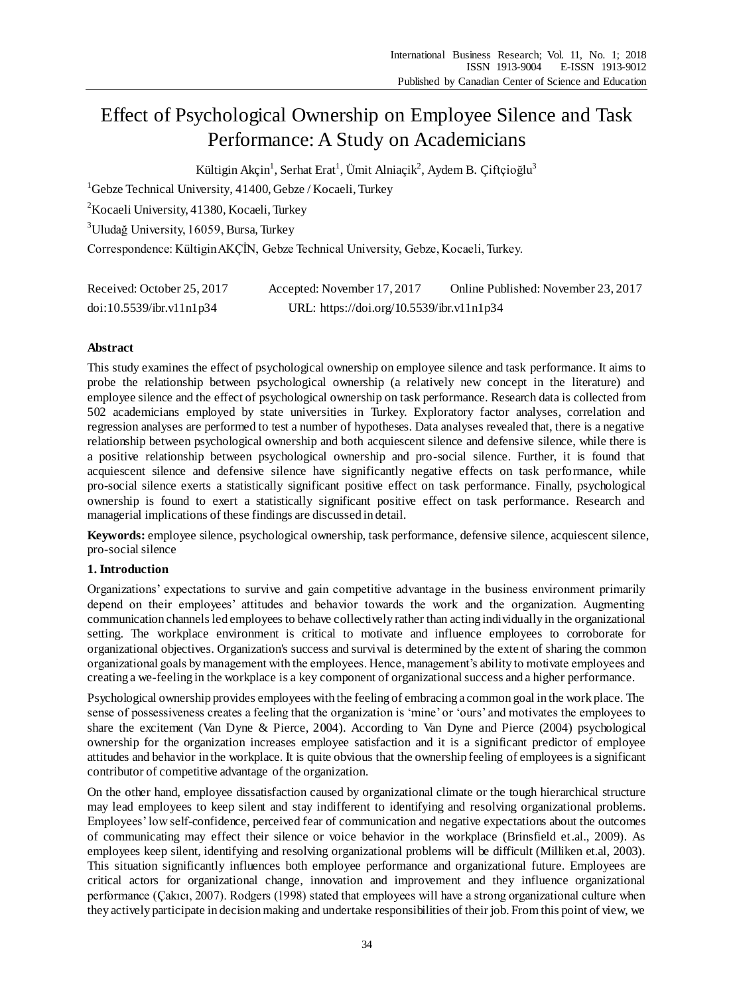# Effect of Psychological Ownership on Employee Silence and Task Performance: A Study on Academicians

Kültigin Akçin $^1$ , Serhat Erat $^1$ , Ümit Alniaçik $^2$ , Aydem B. Çiftçioğlu $^3$ 

 ${}^{1}$ Gebze Technical University, 41400, Gebze / Kocaeli, Turkey

<sup>2</sup>Kocaeli University, 41380, Kocaeli, Turkey

<sup>3</sup>Uludağ University, 16059, Bursa, Turkey

Correspondence: Kültigin AKÇİN, Gebze Technical University, Gebze, Kocaeli, Turkey.

| Received: October 25, 2017 | Accepted: November 17, 2017               | Online Published: November 23, 2017 |
|----------------------------|-------------------------------------------|-------------------------------------|
| doi:10.5539/ibr.v11nlp34   | URL: https://doi.org/10.5539/ibr.v11n1p34 |                                     |

# **Abstract**

This study examines the effect of psychological ownership on employee silence and task performance. It aims to probe the relationship between psychological ownership (a relatively new concept in the literature) and employee silence and the effect of psychological ownership on task performance. Research data is collected from 502 academicians employed by state universities in Turkey. Exploratory factor analyses, correlation and regression analyses are performed to test a number of hypotheses. Data analyses revealed that, there is a negative relationship between psychological ownership and both acquiescent silence and defensive silence, while there is a positive relationship between psychological ownership and pro-social silence. Further, it is found that acquiescent silence and defensive silence have significantly negative effects on task performance, while pro-social silence exerts a statistically significant positive effect on task performance. Finally, psychological ownership is found to exert a statistically significant positive effect on task performance. Research and managerial implications of these findings are discussed in detail.

**Keywords:** employee silence, psychological ownership, task performance, defensive silence, acquiescent silence, pro-social silence

# **1. Introduction**

Organizations' expectations to survive and gain competitive advantage in the business environment primarily depend on their employees' attitudes and behavior towards the work and the organization. Augmenting communication channels led employees to behave collectively rather than acting individually in the organizational setting. The workplace environment is critical to motivate and influence employees to corroborate for organizational objectives. Organization's success and survival is determined by the extent of sharing the common organizational goals by management with the employees. Hence, management's ability to motivate employees and creating a we-feeling in the workplace is a key component of organizational success and a higher performance.

Psychological ownership provides employees with the feeling of embracing a common goal in the work place. The sense of possessiveness creates a feeling that the organization is 'mine' or 'ours' and motivates the employees to share the excitement (Van Dyne & Pierce, 2004). According to Van Dyne and Pierce (2004) psychological ownership for the organization increases employee satisfaction and it is a significant predictor of employee attitudes and behavior in the workplace. It is quite obvious that the ownership feeling of employees is a significant contributor of competitive advantage of the organization.

On the other hand, employee dissatisfaction caused by organizational climate or the tough hierarchical structure may lead employees to keep silent and stay indifferent to identifying and resolving organizational problems. Employees' low self-confidence, perceived fear of communication and negative expectations about the outcomes of communicating may effect their silence or voice behavior in the workplace (Brinsfield et.al., 2009). As employees keep silent, identifying and resolving organizational problems will be difficult (Milliken et.al, 2003). This situation significantly influences both employee performance and organizational future. Employees are critical actors for organizational change, innovation and improvement and they influence organizational performance (Çakıcı, 2007). Rodgers (1998) stated that employees will have a strong organizational culture when they actively participate in decision making and undertake responsibilities of their job. From this point of view, we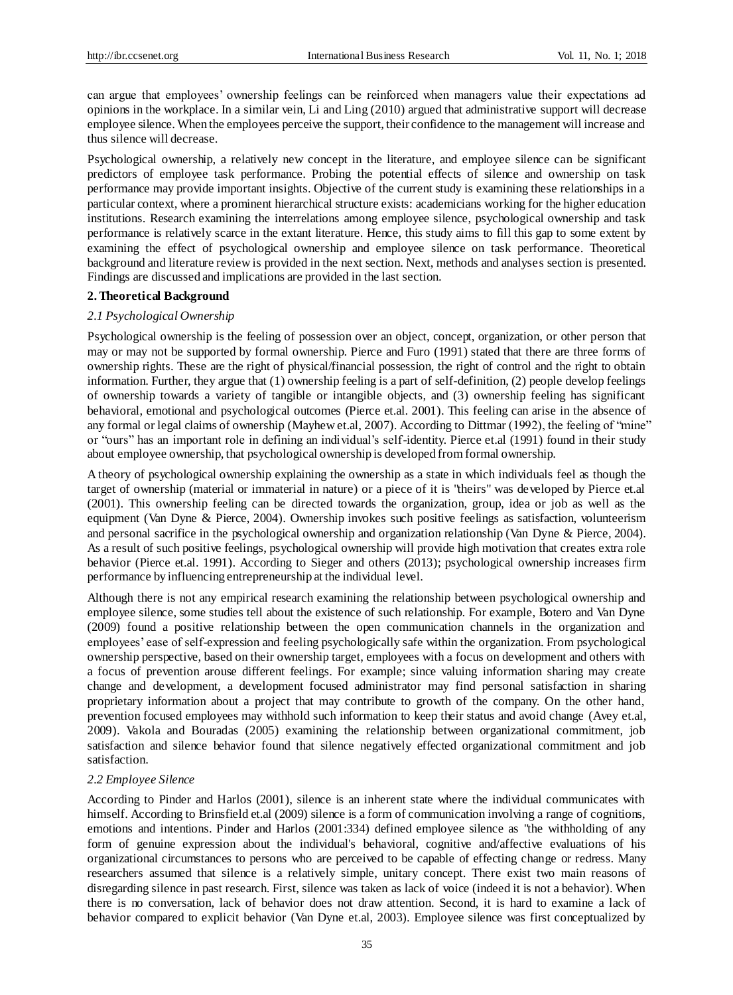can argue that employees' ownership feelings can be reinforced when managers value their expectations ad opinions in the workplace. In a similar vein, Li and Ling (2010) argued that administrative support will decrease employee silence. When the employees perceive the support, their confidence to the management will increase and thus silence will decrease.

Psychological ownership, a relatively new concept in the literature, and employee silence can be significant predictors of employee task performance. Probing the potential effects of silence and ownership on task performance may provide important insights. Objective of the current study is examining these relationships in a particular context, where a prominent hierarchical structure exists: academicians working for the higher education institutions. Research examining the interrelations among employee silence, psychological ownership and task performance is relatively scarce in the extant literature. Hence, this study aims to fill this gap to some extent by examining the effect of psychological ownership and employee silence on task performance. Theoretical background and literature review is provided in the next section. Next, methods and analyses section is presented. Findings are discussed and implications are provided in the last section.

#### **2. Theoretical Background**

#### *2.1 Psychological Ownership*

Psychological ownership is the feeling of possession over an object, concept, organization, or other person that may or may not be supported by formal ownership. Pierce and Furo (1991) stated that there are three forms of ownership rights. These are the right of physical/financial possession, the right of control and the right to obtain information. Further, they argue that (1) ownership feeling is a part of self-definition, (2) people develop feelings of ownership towards a variety of tangible or intangible objects, and (3) ownership feeling has significant behavioral, emotional and psychological outcomes (Pierce et.al. 2001). This feeling can arise in the absence of any formal or legal claims of ownership (Mayhew et.al, 2007). According to Dittmar (1992), the feeling of "mine" or "ours" has an important role in defining an individual's self-identity. Pierce et.al (1991) found in their study about employee ownership, that psychological ownership is developed from formal ownership.

A theory of psychological ownership explaining the ownership as a state in which individuals feel as though the target of ownership (material or immaterial in nature) or a piece of it is "theirs" was developed by Pierce et.al (2001). This ownership feeling can be directed towards the organization, group, idea or job as well as the equipment (Van Dyne & Pierce, 2004). Ownership invokes such positive feelings as satisfaction, volunteerism and personal sacrifice in the psychological ownership and organization relationship (Van Dyne & Pierce, 2004). As a result of such positive feelings, psychological ownership will provide high motivation that creates extra role behavior (Pierce et.al. 1991). According to Sieger and others (2013); psychological ownership increases firm performance by influencing entrepreneurship at the individual level.

Although there is not any empirical research examining the relationship between psychological ownership and employee silence, some studies tell about the existence of such relationship. For example, Botero and Van Dyne (2009) found a positive relationship between the open communication channels in the organization and employees' ease of self-expression and feeling psychologically safe within the organization. From psychological ownership perspective, based on their ownership target, employees with a focus on development and others with a focus of prevention arouse different feelings. For example; since valuing information sharing may create change and development, a development focused administrator may find personal satisfaction in sharing proprietary information about a project that may contribute to growth of the company. On the other hand, prevention focused employees may withhold such information to keep their status and avoid change (Avey et.al, 2009). Vakola and Bouradas (2005) examining the relationship between organizational commitment, job satisfaction and silence behavior found that silence negatively effected organizational commitment and job satisfaction.

# *2.2 Employee Silence*

According to Pinder and Harlos (2001), silence is an inherent state where the individual communicates with himself. According to Brinsfield et.al (2009) silence is a form of communication involving a range of cognitions, emotions and intentions. Pinder and Harlos (2001:334) defined employee silence as "the withholding of any form of genuine expression about the individual's behavioral, cognitive and/affective evaluations of his organizational circumstances to persons who are perceived to be capable of effecting change or redress. Many researchers assumed that silence is a relatively simple, unitary concept. There exist two main reasons of disregarding silence in past research. First, silence was taken as lack of voice (indeed it is not a behavior). When there is no conversation, lack of behavior does not draw attention. Second, it is hard to examine a lack of behavior compared to explicit behavior (Van Dyne et.al, 2003). Employee silence was first conceptualized by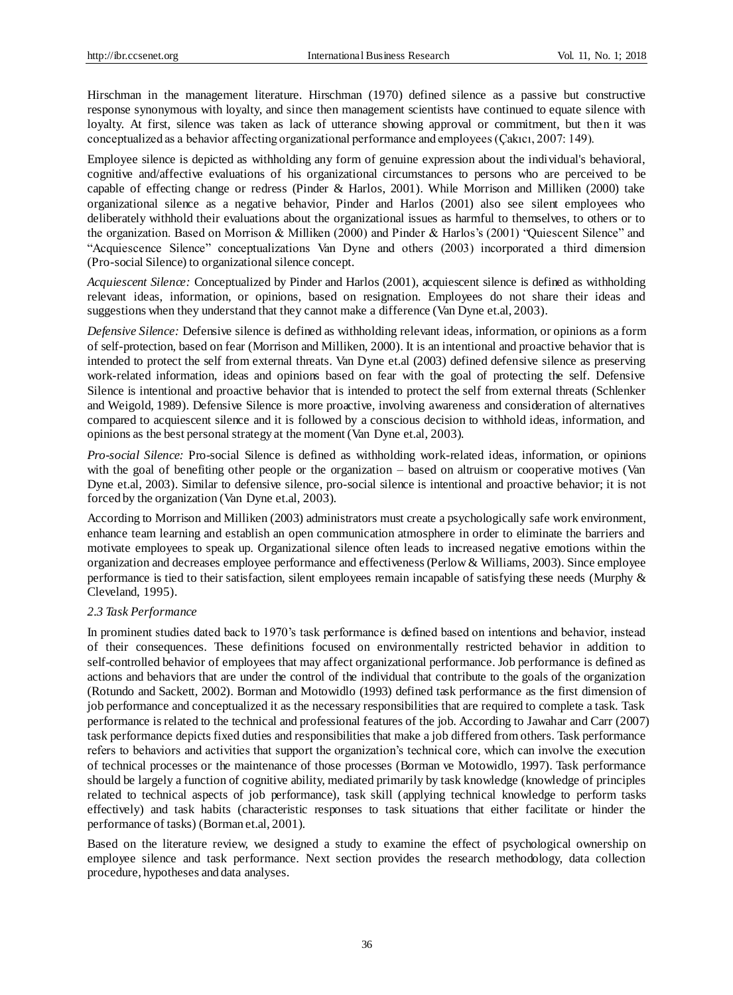Hirschman in the management literature. Hirschman (1970) defined silence as a passive but constructive response synonymous with loyalty, and since then management scientists have continued to equate silence with loyalty. At first, silence was taken as lack of utterance showing approval or commitment, but then it was conceptualized as a behavior affecting organizational performance and employees (Çakıcı, 2007: 149).

Employee silence is depicted as withholding any form of genuine expression about the individual's behavioral, cognitive and/affective evaluations of his organizational circumstances to persons who are perceived to be capable of effecting change or redress (Pinder & Harlos, 2001). While Morrison and Milliken (2000) take organizational silence as a negative behavior, Pinder and Harlos (2001) also see silent employees who deliberately withhold their evaluations about the organizational issues as harmful to themselves, to others or to the organization. Based on Morrison & Milliken (2000) and Pinder & Harlos's (2001) "Quiescent Silence" and "Acquiescence Silence" conceptualizations Van Dyne and others (2003) incorporated a third dimension (Pro-social Silence) to organizational silence concept.

*Acquiescent Silence:* Conceptualized by Pinder and Harlos (2001), acquiescent silence is defined as withholding relevant ideas, information, or opinions, based on resignation. Employees do not share their ideas and suggestions when they understand that they cannot make a difference (Van Dyne et.al, 2003).

*Defensive Silence:* Defensive silence is defined as withholding relevant ideas, information, or opinions as a form of self-protection, based on fear (Morrison and Milliken, 2000). It is an intentional and proactive behavior that is intended to protect the self from external threats. Van Dyne et.al (2003) defined defensive silence as preserving work-related information, ideas and opinions based on fear with the goal of protecting the self. Defensive Silence is intentional and proactive behavior that is intended to protect the self from external threats (Schlenker and Weigold, 1989). Defensive Silence is more proactive, involving awareness and consideration of alternatives compared to acquiescent silence and it is followed by a conscious decision to withhold ideas, information, and opinions as the best personal strategy at the moment (Van Dyne et.al, 2003).

*Pro-social Silence:* Pro-social Silence is defined as withholding work-related ideas, information, or opinions with the goal of benefiting other people or the organization – based on altruism or cooperative motives (Van Dyne et.al, 2003). Similar to defensive silence, pro-social silence is intentional and proactive behavior; it is not forced by the organization (Van Dyne et.al, 2003).

According to Morrison and Milliken (2003) administrators must create a psychologically safe work environment, enhance team learning and establish an open communication atmosphere in order to eliminate the barriers and motivate employees to speak up. Organizational silence often leads to increased negative emotions within the organization and decreases employee performance and effectiveness (Perlow & Williams, 2003). Since employee performance is tied to their satisfaction, silent employees remain incapable of satisfying these needs (Murphy & Cleveland, 1995).

#### *2.3 Task Performance*

In prominent studies dated back to 1970's task performance is defined based on intentions and behavior, instead of their consequences. These definitions focused on environmentally restricted behavior in addition to self-controlled behavior of employees that may affect organizational performance. Job performance is defined as actions and behaviors that are under the control of the individual that contribute to the goals of the organization (Rotundo and Sackett, 2002). Borman and Motowidlo (1993) defined task performance as the first dimension of job performance and conceptualized it as the necessary responsibilities that are required to complete a task. Task performance is related to the technical and professional features of the job. According to Jawahar and Carr (2007) task performance depicts fixed duties and responsibilities that make a job differed from others. Task performance refers to behaviors and activities that support the organization's technical core, which can involve the execution of technical processes or the maintenance of those processes (Borman ve Motowidlo, 1997). Task performance should be largely a function of cognitive ability, mediated primarily by task knowledge (knowledge of principles related to technical aspects of job performance), task skill (applying technical knowledge to perform tasks effectively) and task habits (characteristic responses to task situations that either facilitate or hinder the performance of tasks) (Borman et.al, 2001).

Based on the literature review, we designed a study to examine the effect of psychological ownership on employee silence and task performance. Next section provides the research methodology, data collection procedure, hypotheses and data analyses.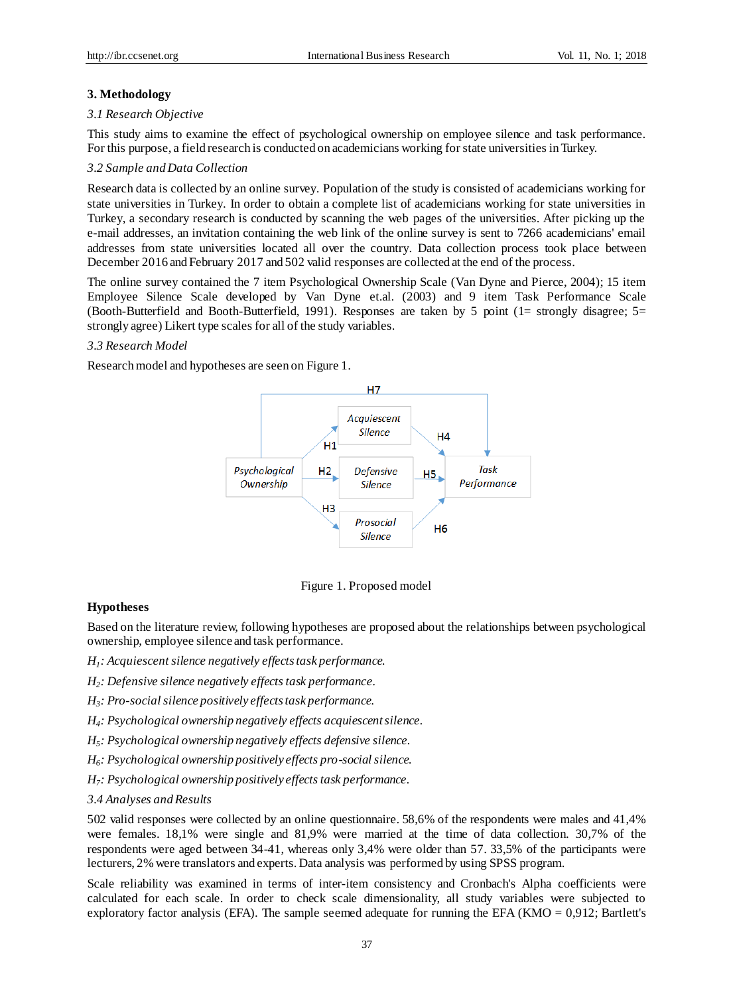#### **3. Methodology**

#### *3.1 Research Objective*

This study aims to examine the effect of psychological ownership on employee silence and task performance. For this purpose, a field research is conducted on academicians working for state universities in Turkey.

#### *3.2 Sample and Data Collection*

Research data is collected by an online survey. Population of the study is consisted of academicians working for state universities in Turkey. In order to obtain a complete list of academicians working for state universities in Turkey, a secondary research is conducted by scanning the web pages of the universities. After picking up the e-mail addresses, an invitation containing the web link of the online survey is sent to 7266 academicians' email addresses from state universities located all over the country. Data collection process took place between December 2016 and February 2017 and 502 valid responses are collected at the end of the process.

The online survey contained the 7 item Psychological Ownership Scale (Van Dyne and Pierce, 2004); 15 item Employee Silence Scale developed by Van Dyne et.al. (2003) and 9 item Task Performance Scale (Booth-Butterfield and Booth-Butterfield, 1991). Responses are taken by 5 point (1= strongly disagree; 5= strongly agree) Likert type scales for all of the study variables.

#### *3.3 Research Model*

Research model and hypotheses are seen on Figure 1.



Figure 1. Proposed model

#### **Hypotheses**

Based on the literature review, following hypotheses are proposed about the relationships between psychological ownership, employee silence and task performance.

- *H1 : Acquiescent silence negatively effects task performance.*
- *H2 : Defensive silence negatively effects task performance.*
- *H3 : Pro-social silence positively effects task performance.*
- *H4 : Psychological ownership negatively effects acquiescent silence.*
- *H5 : Psychological ownership negatively effects defensive silence.*
- *H6 : Psychological ownership positively effects pro-social silence.*
- *H7 : Psychological ownership positively effects task performance.*
- *3.4 Analyses and Results*

502 valid responses were collected by an online questionnaire. 58,6% of the respondents were males and 41,4% were females. 18,1% were single and 81,9% were married at the time of data collection. 30,7% of the respondents were aged between 34-41, whereas only 3,4% were older than 57. 33,5% of the participants were lecturers, 2% were translators and experts. Data analysis was performed by using SPSS program.

Scale reliability was examined in terms of inter-item consistency and Cronbach's Alpha coefficients were calculated for each scale. In order to check scale dimensionality, all study variables were subjected to exploratory factor analysis (EFA). The sample seemed adequate for running the EFA ( $KMO = 0.912$ ; Bartlett's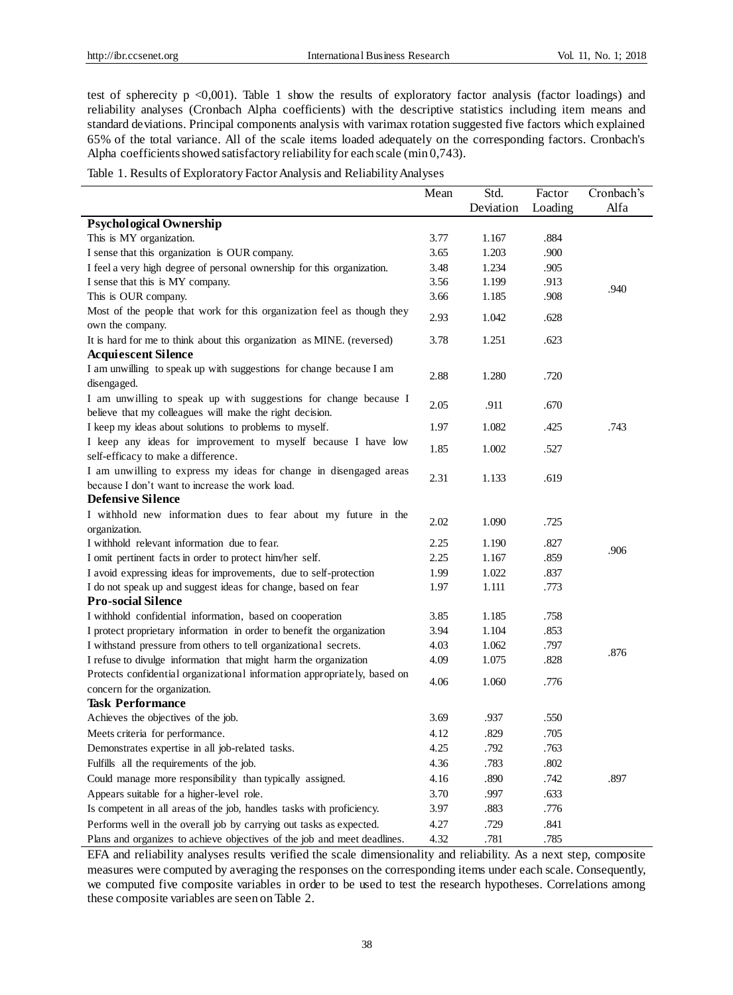test of spherecity  $p \le 0.001$ ). Table 1 show the results of exploratory factor analysis (factor loadings) and reliability analyses (Cronbach Alpha coefficients) with the descriptive statistics including item means and standard deviations. Principal components analysis with varimax rotation suggested five factors which explained 65% of the total variance. All of the scale items loaded adequately on the corresponding factors. Cronbach's Alpha coefficients showed satisfactory reliability for each scale (min 0,743).

Table 1. Results of Exploratory Factor Analysis and Reliability Analyses

|                                                                                            | Mean | Std.      | Factor  | Cronbach's |
|--------------------------------------------------------------------------------------------|------|-----------|---------|------------|
|                                                                                            |      | Deviation | Loading | Alfa       |
| <b>Psychological Ownership</b>                                                             |      |           |         |            |
| This is MY organization.                                                                   | 3.77 | 1.167     | .884    |            |
| I sense that this organization is OUR company.                                             | 3.65 | 1.203     | .900    |            |
| I feel a very high degree of personal ownership for this organization.                     | 3.48 | 1.234     | .905    |            |
| I sense that this is MY company.                                                           | 3.56 | 1.199     | .913    |            |
| This is OUR company.                                                                       | 3.66 | 1.185     | .908    | .940       |
| Most of the people that work for this organization feel as though they<br>own the company. | 2.93 | 1.042     | .628    |            |
| It is hard for me to think about this organization as MINE. (reversed)                     | 3.78 | 1.251     | .623    |            |
| <b>Acquiescent Silence</b>                                                                 |      |           |         |            |
| I am unwilling to speak up with suggestions for change because I am                        |      |           |         |            |
| disengaged.                                                                                | 2.88 | 1.280     | .720    |            |
| I am unwilling to speak up with suggestions for change because I                           |      |           |         |            |
| believe that my colleagues will make the right decision.                                   | 2.05 | .911      | .670    |            |
| I keep my ideas about solutions to problems to myself.                                     | 1.97 | 1.082     | .425    | .743       |
| I keep any ideas for improvement to myself because I have low                              | 1.85 | 1.002     | .527    |            |
| self-efficacy to make a difference.                                                        |      |           |         |            |
| I am unwilling to express my ideas for change in disengaged areas                          | 2.31 | 1.133     | .619    |            |
| because I don't want to increase the work load.                                            |      |           |         |            |
| <b>Defensive Silence</b>                                                                   |      |           |         |            |
| I withhold new information dues to fear about my future in the                             | 2.02 | 1.090     | .725    |            |
| organization.                                                                              |      |           |         |            |
| I withhold relevant information due to fear.                                               | 2.25 | 1.190     | .827    | .906       |
| I omit pertinent facts in order to protect him/her self.                                   | 2.25 | 1.167     | .859    |            |
| I avoid expressing ideas for improvements, due to self-protection                          | 1.99 | 1.022     | .837    |            |
| I do not speak up and suggest ideas for change, based on fear                              | 1.97 | 1.111     | .773    |            |
| <b>Pro-social Silence</b>                                                                  |      |           |         |            |
| I withhold confidential information, based on cooperation                                  | 3.85 | 1.185     | .758    |            |
| I protect proprietary information in order to benefit the organization                     | 3.94 | 1.104     | .853    |            |
| I withstand pressure from others to tell organizational secrets.                           | 4.03 | 1.062     | .797    | .876       |
| I refuse to divulge information that might harm the organization                           | 4.09 | 1.075     | .828    |            |
| Protects confidential organizational information appropriately, based on                   | 4.06 | 1.060     | .776    |            |
| concern for the organization.                                                              |      |           |         |            |
| <b>Task Performance</b>                                                                    |      |           |         |            |
| Achieves the objectives of the job.                                                        | 3.69 | .937      | .550    |            |
| Meets criteria for performance.                                                            | 4.12 | .829      | .705    |            |
| Demonstrates expertise in all job-related tasks.                                           | 4.25 | .792      | .763    |            |
| Fulfills all the requirements of the job.                                                  | 4.36 | .783      | .802    |            |
| Could manage more responsibility than typically assigned.                                  | 4.16 | .890      | .742    | .897       |
| Appears suitable for a higher-level role.                                                  | 3.70 | .997      | .633    |            |
| Is competent in all areas of the job, handles tasks with proficiency.                      | 3.97 | .883      | .776    |            |
| Performs well in the overall job by carrying out tasks as expected.                        | 4.27 | .729      | .841    |            |
| Plans and organizes to achieve objectives of the job and meet deadlines.                   | 4.32 | .781      | .785    |            |

EFA and reliability analyses results verified the scale dimensionality and reliability. As a next step, composite measures were computed by averaging the responses on the corresponding items under each scale. Consequently, we computed five composite variables in order to be used to test the research hypotheses. Correlations among these composite variables are seen on Table 2.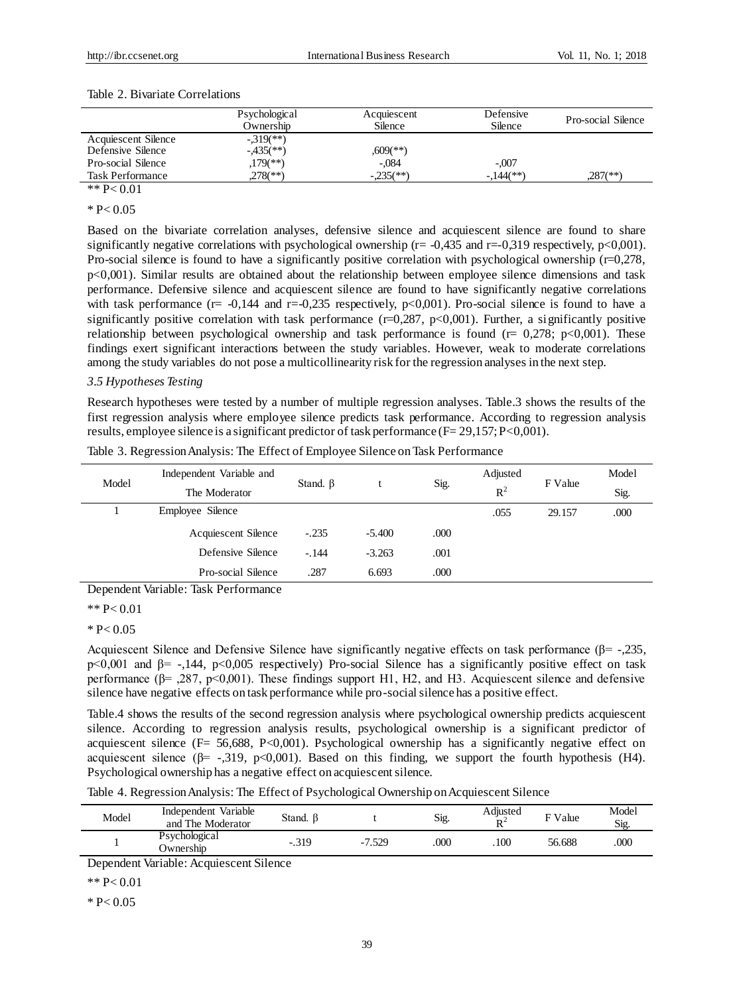|                         | Psychological<br>Ownership | Acquiescent<br>Silence | Defensive<br>Silence | Pro-social Silence     |
|-------------------------|----------------------------|------------------------|----------------------|------------------------|
| Acquiescent Silence     | $-319$ <sup>**</sup> )     |                        |                      |                        |
| Defensive Silence       | $-435$ <sup>(**)</sup> )   | $,609$ <sup>(**)</sup> |                      |                        |
| Pro-social Silence      | $,179$ <sup>(**)</sup> )   | -.084                  | $-.007$              |                        |
| <b>Task Performance</b> | $.278$ <sup>(**)</sup> )   | $-0.235$ (**)          | $-144$ (**)          | $.287$ <sup>(**)</sup> |
|                         |                            |                        |                      |                        |

#### Table 2. Bivariate Correlations

# \*\*  $P < 0.01$

 $* P < 0.05$ 

Based on the bivariate correlation analyses, defensive silence and acquiescent silence are found to share significantly negative correlations with psychological ownership ( $r = -0.435$  and  $r = -0.319$  respectively,  $p < 0.001$ ). Pro-social silence is found to have a significantly positive correlation with psychological ownership (r=0,278, p<0,001). Similar results are obtained about the relationship between employee silence dimensions and task performance. Defensive silence and acquiescent silence are found to have significantly negative correlations with task performance ( $r= -0.144$  and  $r=-0.235$  respectively,  $p<0.001$ ). Pro-social silence is found to have a significantly positive correlation with task performance  $(r=0.287, p<0.001)$ . Further, a significantly positive relationship between psychological ownership and task performance is found ( $r = 0.278$ ;  $p < 0.001$ ). These findings exert significant interactions between the study variables. However, weak to moderate correlations among the study variables do not pose a multicollinearity risk for the regression analyses in the next step.

### *3.5 Hypotheses Testing*

Research hypotheses were tested by a number of multiple regression analyses. Table.3 shows the results of the first regression analysis where employee silence predicts task performance. According to regression analysis results, employee silence is a significant predictor of task performance (F= 29,157; P<0,001).

| Model      | Independent Variable and | Stand. $\beta$ |          |      | Adjusted | F Value | Model |
|------------|--------------------------|----------------|----------|------|----------|---------|-------|
|            | The Moderator            |                |          | Sig. | $R^2$    |         | Sig.  |
|            | Employee Silence         |                |          |      | .055     | 29.157  | .000  |
|            | Acquiescent Silence      | $-.235$        | $-5.400$ | .000 |          |         |       |
|            | Defensive Silence        | $-144$         | $-3.263$ | .001 |          |         |       |
|            | Pro-social Silence       | .287           | 6.693    | .000 |          |         |       |
| $\sqrt{ }$ | 7.77.11<br>$m + n + c$   |                |          |      |          |         |       |

Table 3. Regression Analysis: The Effect of Employee Silence on Task Performance

Dependent Variable: Task Performance

\*\* P< 0.01

 $* P < 0.05$ 

Acquiescent Silence and Defensive Silence have significantly negative effects on task performance ( $\beta$ = -,235, p<0,001 and β= -,144, p<0,005 respectively) Pro-social Silence has a significantly positive effect on task performance ( $\beta$ = ,287, p<0,001). These findings support H1, H2, and H3. Acquiescent silence and defensive silence have negative effects on task performance while pro-social silence has a positive effect.

Table.4 shows the results of the second regression analysis where psychological ownership predicts acquiescent silence. According to regression analysis results, psychological ownership is a significant predictor of acquiescent silence (F= 56,688, P<0,001). Psychological ownership has a significantly negative effect on acquiescent silence ( $\beta$ = -,319, p<0,001). Based on this finding, we support the fourth hypothesis (H4). Psychological ownership has a negative effect on acquiescent silence.

Table 4. Regression Analysis: The Effect of Psychological Ownership on Acquiescent Silence

| Model | Independent Variable<br>and The Moderator | Stand. $\beta$ |          | Sig. | Adjusted<br>$\mathbf{D}^2$ | F Value | Model<br>Sig. |
|-------|-------------------------------------------|----------------|----------|------|----------------------------|---------|---------------|
|       | Psychological<br><b>Ownership</b>         | $-.319$        | $-7.529$ | 000  | 100                        | 56.688  | .000          |

Dependent Variable: Acquiescent Silence

 $*$  P  $< 0.01$ 

 $* P < 0.05$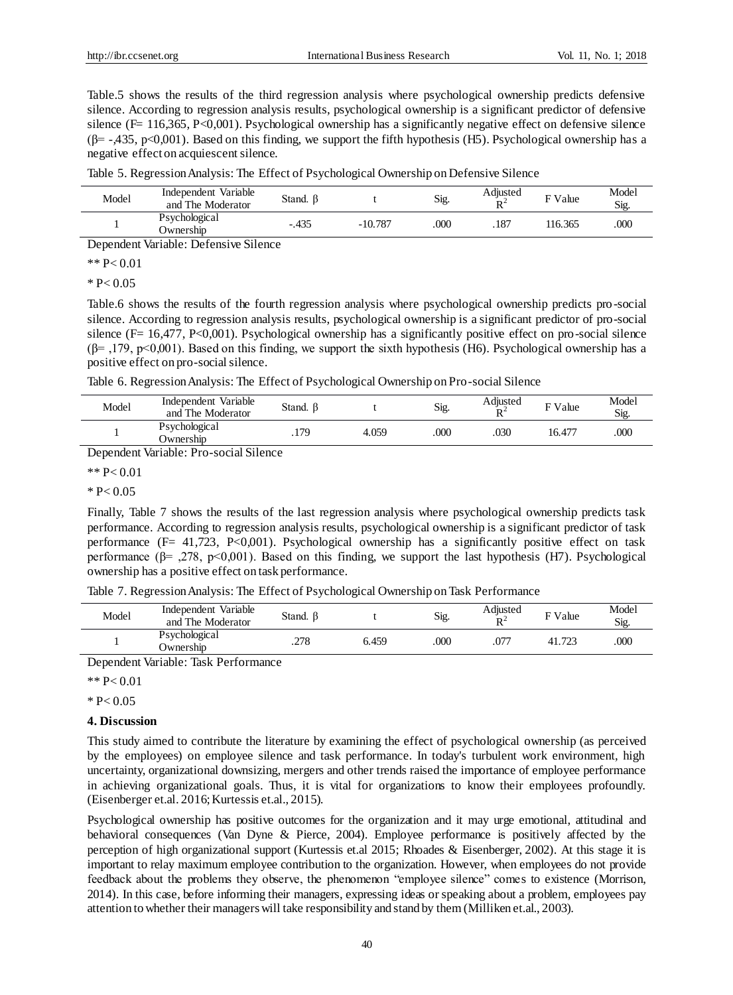Table.5 shows the results of the third regression analysis where psychological ownership predicts defensive silence. According to regression analysis results, psychological ownership is a significant predictor of defensive silence ( $F= 116,365, P<0,001$ ). Psychological ownership has a significantly negative effect on defensive silence  $(\beta$ = -435, p<0,001). Based on this finding, we support the fifth hypothesis (H5). Psychological ownership has a negative effect on acquiescent silence.

| Table 5. Regression Analysis: The Effect of Psychological Ownership on Defensive Silence |  |  |
|------------------------------------------------------------------------------------------|--|--|
|                                                                                          |  |  |

| Psychological<br>$-.435$<br>000<br>000<br>.187<br>$-10.787$<br>116.365<br>Ownership | Model | Independent Variable<br>and The Moderator | Stand. $\beta$ | Sig. | Adjusted<br>$\mathbf{D}$ | F Value | Model<br>Sig. |
|-------------------------------------------------------------------------------------|-------|-------------------------------------------|----------------|------|--------------------------|---------|---------------|
|                                                                                     |       |                                           |                |      |                          |         |               |

Dependent Variable: Defensive Silence

$$
** P< 0.01
$$

 $* P < 0.05$ 

Table.6 shows the results of the fourth regression analysis where psychological ownership predicts pro-social silence. According to regression analysis results, psychological ownership is a significant predictor of pro-social silence (F= 16,477, P<0,001). Psychological ownership has a significantly positive effect on pro-social silence  $(\beta$ =,179, p<0,001). Based on this finding, we support the sixth hypothesis (H6). Psychological ownership has a positive effect on pro-social silence.

Table 6. Regression Analysis: The Effect of Psychological Ownership on Pro-social Silence

| Model | Independent Variable<br>and The Moderator | Stand. $\beta$ |       | Sig. | Adjusted<br>$R^{\cdot}$ | $\overline{F}$ Value | Model<br>Sig. |
|-------|-------------------------------------------|----------------|-------|------|-------------------------|----------------------|---------------|
|       | Psychological<br><b>Ownership</b>         | .179           | 4.059 | 000  | 030                     | $16.47^{\circ}$      | 000           |

Dependent Variable: Pro-social Silence

# \*\* P< 0.01

 $* P < 0.05$ 

Finally, Table 7 shows the results of the last regression analysis where psychological ownership predicts task performance. According to regression analysis results, psychological ownership is a significant predictor of task performance ( $F = 41,723$ ,  $P < 0,001$ ). Psychological ownership has a significantly positive effect on task performance  $(\beta = 0.278, \beta \le 0.001)$ . Based on this finding, we support the last hypothesis (H7). Psychological ownership has a positive effect on task performance.

Table 7. Regression Analysis: The Effect of Psychological Ownership on Task Performance

| Model | Independent Variable<br>and The Moderator | Stand. ß |       | Sig. | Adjusted<br>$\mathbf{D}^{\perp}$ | F Value | Model<br>Sig. |
|-------|-------------------------------------------|----------|-------|------|----------------------------------|---------|---------------|
|       | Psychological<br><b>Ownership</b>         | .278     | 6.459 | 000  | $.07^{-}$                        | フつつ     | 000           |

Dependent Variable: Task Performance

 $*$  P  $< 0.01$ 

# $* P < 0.05$

### **4. Discussion**

This study aimed to contribute the literature by examining the effect of psychological ownership (as perceived by the employees) on employee silence and task performance. In today's turbulent work environment, high uncertainty, organizational downsizing, mergers and other trends raised the importance of employee performance in achieving organizational goals. Thus, it is vital for organizations to know their employees profoundly. (Eisenberger et.al. 2016; Kurtessis et.al., 2015).

Psychological ownership has positive outcomes for the organization and it may urge emotional, attitudinal and behavioral consequences (Van Dyne & Pierce, 2004). Employee performance is positively affected by the perception of high organizational support (Kurtessis et.al 2015; Rhoades & Eisenberger, 2002). At this stage it is important to relay maximum employee contribution to the organization. However, when employees do not provide feedback about the problems they observe, the phenomenon "employee silence" comes to existence (Morrison, 2014). In this case, before informing their managers, expressing ideas or speaking about a problem, employees pay attention to whether their managers will take responsibility and stand by them (Milliken et.al., 2003).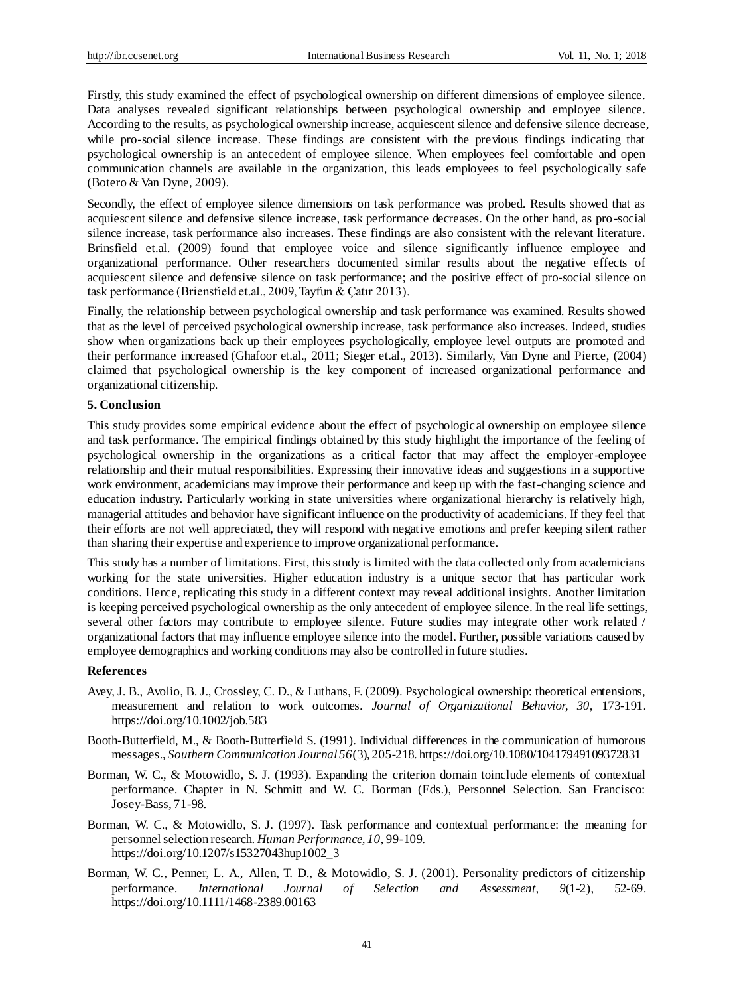Firstly, this study examined the effect of psychological ownership on different dimensions of employee silence. Data analyses revealed significant relationships between psychological ownership and employee silence. According to the results, as psychological ownership increase, acquiescent silence and defensive silence decrease, while pro-social silence increase. These findings are consistent with the previous findings indicating that psychological ownership is an antecedent of employee silence. When employees feel comfortable and open communication channels are available in the organization, this leads employees to feel psychologically safe (Botero & Van Dyne, 2009).

Secondly, the effect of employee silence dimensions on task performance was probed. Results showed that as acquiescent silence and defensive silence increase, task performance decreases. On the other hand, as pro-social silence increase, task performance also increases. These findings are also consistent with the relevant literature. Brinsfield et.al. (2009) found that employee voice and silence significantly influence employee and organizational performance. Other researchers documented similar results about the negative effects of acquiescent silence and defensive silence on task performance; and the positive effect of pro-social silence on task performance (Briensfield et.al., 2009, Tayfun & Çatır 2013).

Finally, the relationship between psychological ownership and task performance was examined. Results showed that as the level of perceived psychological ownership increase, task performance also increases. Indeed, studies show when organizations back up their employees psychologically, employee level outputs are promoted and their performance increased (Ghafoor et.al., 2011; Sieger et.al., 2013). Similarly, Van Dyne and Pierce, (2004) claimed that psychological ownership is the key component of increased organizational performance and organizational citizenship.

# **5. Conclusion**

This study provides some empirical evidence about the effect of psychological ownership on employee silence and task performance. The empirical findings obtained by this study highlight the importance of the feeling of psychological ownership in the organizations as a critical factor that may affect the employer-employee relationship and their mutual responsibilities. Expressing their innovative ideas and suggestions in a supportive work environment, academicians may improve their performance and keep up with the fast-changing science and education industry. Particularly working in state universities where organizational hierarchy is relatively high, managerial attitudes and behavior have significant influence on the productivity of academicians. If they feel that their efforts are not well appreciated, they will respond with negative emotions and prefer keeping silent rather than sharing their expertise and experience to improve organizational performance.

This study has a number of limitations. First, this study is limited with the data collected only from academicians working for the state universities. Higher education industry is a unique sector that has particular work conditions. Hence, replicating this study in a different context may reveal additional insights. Another limitation is keeping perceived psychological ownership as the only antecedent of employee silence. In the real life settings, several other factors may contribute to employee silence. Future studies may integrate other work related / organizational factors that may influence employee silence into the model. Further, possible variations caused by employee demographics and working conditions may also be controlled in future studies.

# **References**

- Avey, J. B., Avolio, B. J., Crossley, C. D., & Luthans, F. (2009). Psychological ownership: theoretical entensions, measurement and relation to work outcomes. *Journal of Organizational Behavior, 30,* 173-191. https://doi.org/10.1002/job.583
- Booth-Butterfield, M., & Booth-Butterfield S. (1991). Individual differences in the communication of humorous messages., *Southern Communication Journal 56*(3), 205-218. https://doi.org/10.1080/10417949109372831
- Borman, W. C., & Motowidlo, S. J. (1993). Expanding the criterion domain toinclude elements of contextual performance. Chapter in N. Schmitt and W. C. Borman (Eds.), Personnel Selection. San Francisco: Josey-Bass, 71-98.
- Borman, W. C., & Motowidlo, S. J. (1997). Task performance and contextual performance: the meaning for personnel selection research. *Human Performance, 10,* 99-109. https://doi.org/10.1207/s15327043hup1002\_3
- Borman, W. C., Penner, L. A., Allen, T. D., & Motowidlo, S. J. (2001). Personality predictors of citizenship performance. *International Journal of Selection and Assessment, 9*(1-2), 52-69. https://doi.org/10.1111/1468-2389.00163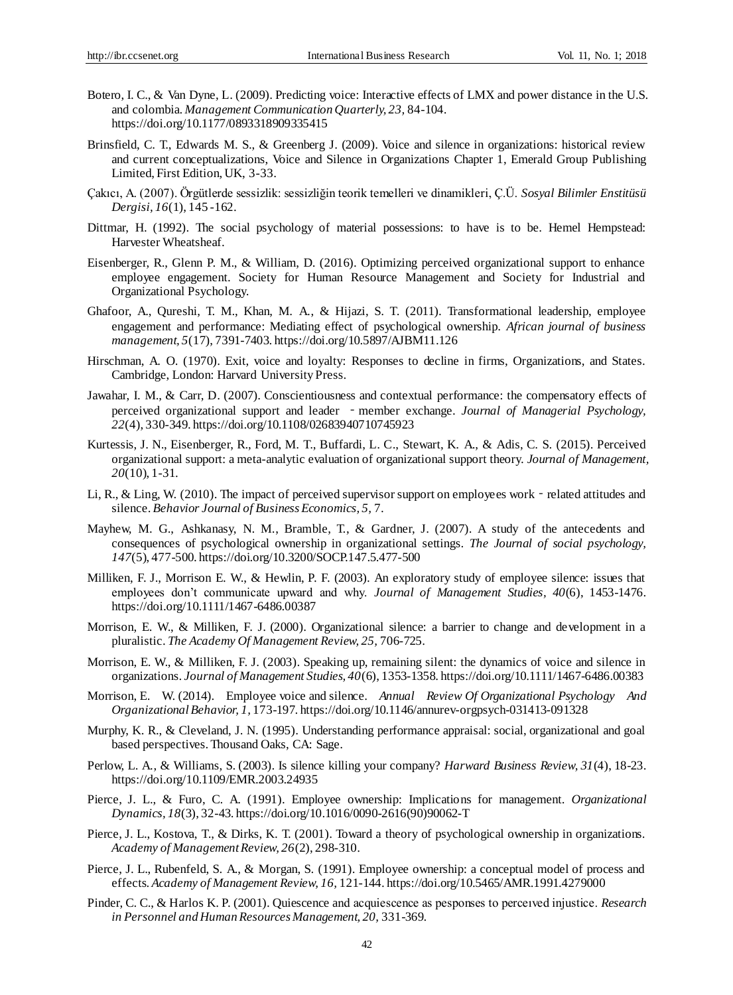- Botero, I. C., & Van Dyne, L. (2009). Predicting voice: Interactive effects of LMX and power distance in the U.S. and colombia. *Management Communication Quarterly, 23,* 84-104. https://doi.org/10.1177/0893318909335415
- Brinsfield, C. T., Edwards M. S., & Greenberg J. (2009). Voice and silence in organizations: historical review and current conceptualizations, Voice and Silence in Organizations Chapter 1, Emerald Group Publishing Limited, First Edition, UK, 3-33.
- Çakıcı, A. (2007). Örgütlerde sessizlik: sessizliğin teorik temelleri ve dinamikleri, Ç.Ü. *Sosyal Bilimler Enstitüsü Dergisi, 16*(1), 145 -162.
- Dittmar, H. (1992). The social psychology of material possessions: to have is to be. Hemel Hempstead: Harvester Wheatsheaf.
- Eisenberger, R., Glenn P. M., & William, D. (2016). Optimizing perceived organizational support to enhance employee engagement. Society for Human Resource Management and Society for Industrial and Organizational Psychology.
- Ghafoor, A., Qureshi, T. M., Khan, M. A., & Hijazi, S. T. (2011). Transformational leadership, employee engagement and performance: Mediating effect of psychological ownership. *African journal of business management, 5*(17), 7391-7403. https://doi.org/10.5897/AJBM11.126
- Hirschman, A. O. (1970). Exit, voice and loyalty: Responses to decline in firms, Organizations, and States. Cambridge, London: Harvard University Press.
- Jawahar, I. M., & Carr, D. (2007). Conscientiousness and contextual performance: the compensatory effects of perceived organizational support and leader ‐member exchange. *Journal of Managerial Psychology, 22*(4), 330-349. https://doi.org/10.1108/02683940710745923
- Kurtessis, J. N., Eisenberger, R., Ford, M. T., Buffardi, L. C., Stewart, K. A., & Adis, C. S. (2015). Perceived organizational support: a meta-analytic evaluation of organizational support theory. *Journal of Management, 20*(10), 1-31.
- Li, R., & Ling, W. (2010). The impact of perceived supervisor support on employees work related attitudes and silence. *Behavior Journal of Business Economics, 5,* 7.
- Mayhew, M. G., Ashkanasy, N. M., Bramble, T., & Gardner, J. (2007). A study of the antecedents and consequences of psychological ownership in organizational settings. *The Journal of social psychology, 147*(5), 477-500. https://doi.org/10.3200/SOCP.147.5.477-500
- Milliken, F. J., Morrison E. W., & Hewlin, P. F. (2003). An exploratory study of employee silence: issues that employees don't communicate upward and why. *Journal of Management Studies, 40*(6), 1453-1476. https://doi.org/10.1111/1467-6486.00387
- Morrison, E. W., & Milliken, F. J. (2000). Organizational silence: a barrier to change and development in a pluralistic. *The Academy Of Management Review, 25,* 706-725.
- Morrison, E. W., & Milliken, F. J. (2003). Speaking up, remaining silent: the dynamics of voice and silence in organizations. *Journal of Management Studies, 40*(6), 1353-1358. https://doi.org/10.1111/1467-6486.00383
- Morrison, E. W. (2014). Employee voice and silence. *Annual Review Of Organizational Psychology And OrganizationalBehavior, 1,* 173-197. https://doi.org/10.1146/annurev-orgpsych-031413-091328
- Murphy, K. R., & Cleveland, J. N. (1995). Understanding performance appraisal: social, organizational and goal based perspectives. Thousand Oaks, CA: Sage.
- Perlow, L. A., & Williams, S. (2003). Is silence killing your company? *Harward Business Review, 31*(4), 18-23. https://doi.org/10.1109/EMR.2003.24935
- Pierce, J. L., & Furo, C. A. (1991). Employee ownership: Implications for management. *Organizational Dynamics, 18*(3), 32-43. https://doi.org/10.1016/0090-2616(90)90062-T
- Pierce, J. L., Kostova, T., & Dirks, K. T. (2001). Toward a theory of psychological ownership in organizations. *Academy of Management Review, 26*(2), 298-310.
- Pierce, J. L., Rubenfeld, S. A., & Morgan, S. (1991). Employee ownership: a conceptual model of process and effects. *Academy of Management Review, 16,* 121-144. https://doi.org/10.5465/AMR.1991.4279000
- Pinder, C. C., & Harlos K. P. (2001). Quiescence and acquiescence as pesponses to perceıved injustice. *Research in Personnel and Human Resources Management, 20,* 331-369.